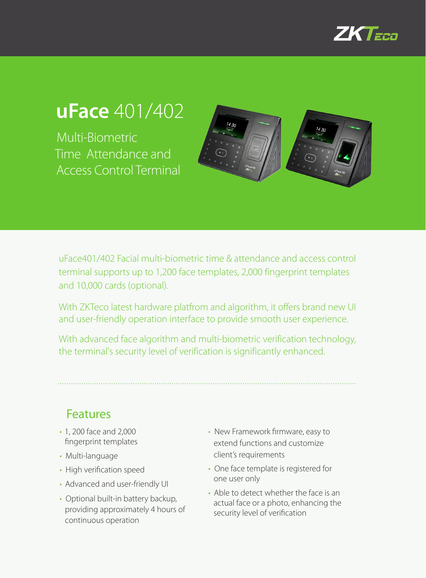

## **uFace** 401/402

Multi-Biometric Time Attendance and Access Control Terminal



uFace401/402 Facial multi-biometric time & attendance and access control terminal supports up to 1,200 face templates, 2,000 fingerprint templates and 10,000 cards (optional).

With ZKTeco latest hardware platfrom and algorithm, it offers brand new UI and user-friendly operation interface to provide smooth user experience.

With advanced face algorithm and multi-biometric verification technology, the terminal's security level of verification is significantly enhanced.

Features

- • 1, 200 face and 2,000 fingerprint templates
- Multi-language
- High verification speed
- Advanced and user-friendly UI
- Optional built-in battery backup, providing approximately 4 hours of continuous operation
- New Framework firmware, easy to extend functions and customize client's requirements
- One face template is registered for one user only
- Able to detect whether the face is an actual face or a photo, enhancing the security level of verification